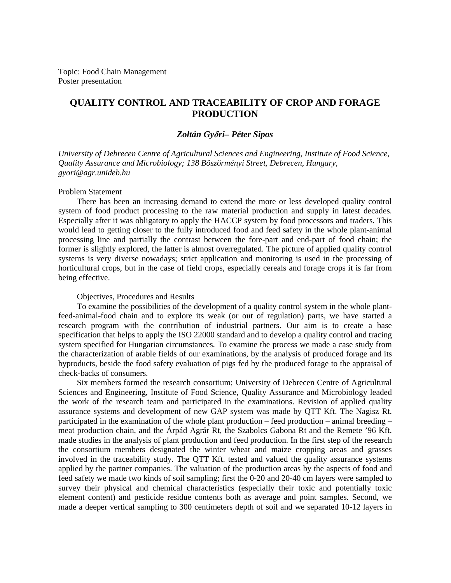Topic: Food Chain Management Poster presentation

# **QUALITY CONTROL AND TRACEABILITY OF CROP AND FORAGE PRODUCTION**

# *Zoltán Gy*ı*ri– Péter Sipos*

*University of Debrecen Centre of Agricultural Sciences and Engineering, Institute of Food Science, Quality Assurance and Microbiology; 138 Böszörményi Street, Debrecen, Hungary, gyori@agr.unideb.hu*

#### Problem Statement

There has been an increasing demand to extend the more or less developed quality control system of food product processing to the raw material production and supply in latest decades. Especially after it was obligatory to apply the HACCP system by food processors and traders. This would lead to getting closer to the fully introduced food and feed safety in the whole plant-animal processing line and partially the contrast between the fore-part and end-part of food chain; the former is slightly explored, the latter is almost overregulated. The picture of applied quality control systems is very diverse nowadays; strict application and monitoring is used in the processing of horticultural crops, but in the case of field crops, especially cereals and forage crops it is far from being effective.

## Objectives, Procedures and Results

To examine the possibilities of the development of a quality control system in the whole plantfeed-animal-food chain and to explore its weak (or out of regulation) parts, we have started a research program with the contribution of industrial partners. Our aim is to create a base specification that helps to apply the ISO 22000 standard and to develop a quality control and tracing system specified for Hungarian circumstances. To examine the process we made a case study from the characterization of arable fields of our examinations, by the analysis of produced forage and its byproducts, beside the food safety evaluation of pigs fed by the produced forage to the appraisal of check-backs of consumers.

Six members formed the research consortium; University of Debrecen Centre of Agricultural Sciences and Engineering, Institute of Food Science, Quality Assurance and Microbiology leaded the work of the research team and participated in the examinations. Revision of applied quality assurance systems and development of new GAP system was made by QTT Kft. The Nagisz Rt. participated in the examination of the whole plant production – feed production – animal breeding – meat production chain, and the Árpád Agrár Rt, the Szabolcs Gabona Rt and the Remete '96 Kft. made studies in the analysis of plant production and feed production. In the first step of the research the consortium members designated the winter wheat and maize cropping areas and grasses involved in the traceability study. The QTT Kft. tested and valued the quality assurance systems applied by the partner companies. The valuation of the production areas by the aspects of food and feed safety we made two kinds of soil sampling; first the 0-20 and 20-40 cm layers were sampled to survey their physical and chemical characteristics (especially their toxic and potentially toxic element content) and pesticide residue contents both as average and point samples. Second, we made a deeper vertical sampling to 300 centimeters depth of soil and we separated 10-12 layers in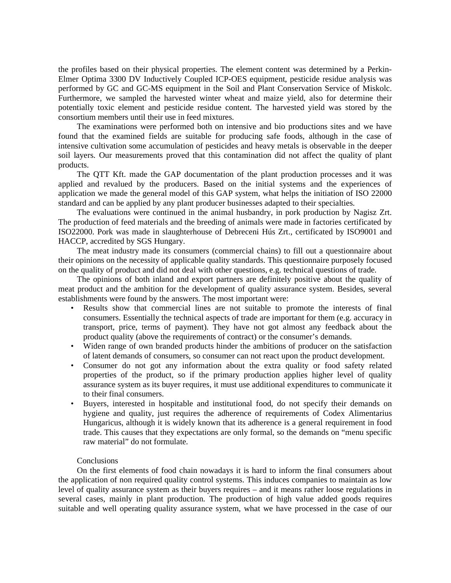the profiles based on their physical properties. The element content was determined by a Perkin-Elmer Optima 3300 DV Inductively Coupled ICP-OES equipment, pesticide residue analysis was performed by GC and GC-MS equipment in the Soil and Plant Conservation Service of Miskolc. Furthermore, we sampled the harvested winter wheat and maize yield, also for determine their potentially toxic element and pesticide residue content. The harvested yield was stored by the consortium members until their use in feed mixtures.

The examinations were performed both on intensive and bio productions sites and we have found that the examined fields are suitable for producing safe foods, although in the case of intensive cultivation some accumulation of pesticides and heavy metals is observable in the deeper soil layers. Our measurements proved that this contamination did not affect the quality of plant products.

The QTT Kft. made the GAP documentation of the plant production processes and it was applied and revalued by the producers. Based on the initial systems and the experiences of application we made the general model of this GAP system, what helps the initiation of ISO 22000 standard and can be applied by any plant producer businesses adapted to their specialties.

The evaluations were continued in the animal husbandry, in pork production by Nagisz Zrt. The production of feed materials and the breeding of animals were made in factories certificated by ISO22000. Pork was made in slaughterhouse of Debreceni Hús Zrt., certificated by ISO9001 and HACCP, accredited by SGS Hungary.

The meat industry made its consumers (commercial chains) to fill out a questionnaire about their opinions on the necessity of applicable quality standards. This questionnaire purposely focused on the quality of product and did not deal with other questions, e.g. technical questions of trade.

The opinions of both inland and export partners are definitely positive about the quality of meat product and the ambition for the development of quality assurance system. Besides, several establishments were found by the answers. The most important were:

- Results show that commercial lines are not suitable to promote the interests of final consumers. Essentially the technical aspects of trade are important for them (e.g. accuracy in transport, price, terms of payment). They have not got almost any feedback about the product quality (above the requirements of contract) or the consumer's demands.
- Widen range of own branded products hinder the ambitions of producer on the satisfaction of latent demands of consumers, so consumer can not react upon the product development.
- Consumer do not got any information about the extra quality or food safety related properties of the product, so if the primary production applies higher level of quality assurance system as its buyer requires, it must use additional expenditures to communicate it to their final consumers.
- Buyers, interested in hospitable and institutional food, do not specify their demands on hygiene and quality, just requires the adherence of requirements of Codex Alimentarius Hungaricus, although it is widely known that its adherence is a general requirement in food trade. This causes that they expectations are only formal, so the demands on "menu specific raw material" do not formulate.

## **Conclusions**

On the first elements of food chain nowadays it is hard to inform the final consumers about the application of non required quality control systems. This induces companies to maintain as low level of quality assurance system as their buyers requires – and it means rather loose regulations in several cases, mainly in plant production. The production of high value added goods requires suitable and well operating quality assurance system, what we have processed in the case of our